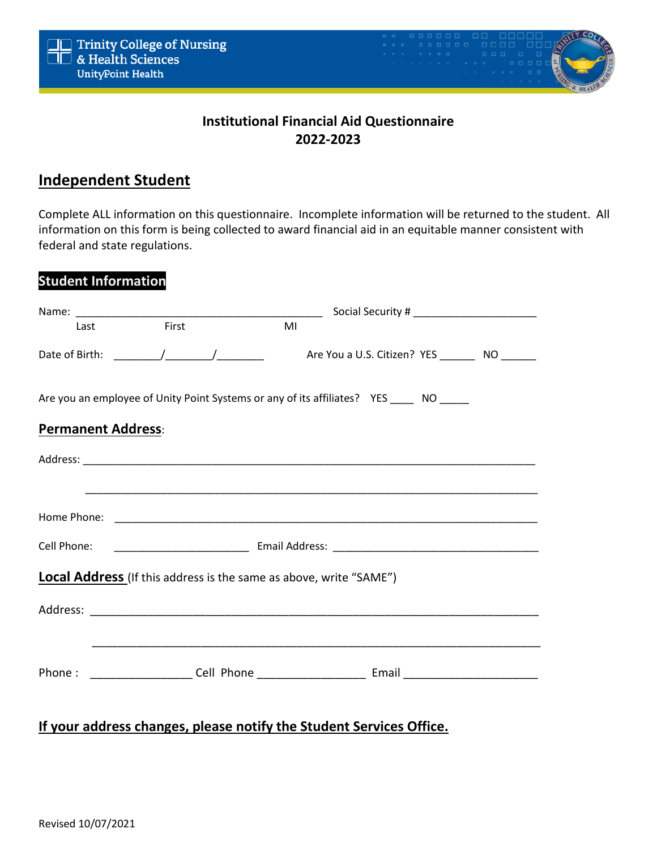

# **Institutional Financial Aid Questionnaire 2022-2023**

## **Independent Student**

Complete ALL information on this questionnaire. Incomplete information will be returned to the student. All information on this form is being collected to award financial aid in an equitable manner consistent with federal and state regulations.

| <b>Student Information</b>                                                                                                                                                                                                     |       |                                                                                         |  |  |  |  |  |  |
|--------------------------------------------------------------------------------------------------------------------------------------------------------------------------------------------------------------------------------|-------|-----------------------------------------------------------------------------------------|--|--|--|--|--|--|
|                                                                                                                                                                                                                                |       |                                                                                         |  |  |  |  |  |  |
| Last the contract of the contract of the contract of the contract of the contract of the contract of the contract of the contract of the contract of the contract of the contract of the contract of the contract of the contr | First | MI                                                                                      |  |  |  |  |  |  |
|                                                                                                                                                                                                                                |       | Are You a U.S. Citizen? YES _________ NO _______                                        |  |  |  |  |  |  |
|                                                                                                                                                                                                                                |       | Are you an employee of Unity Point Systems or any of its affiliates? YES _____ NO _____ |  |  |  |  |  |  |
| <b>Permanent Address:</b>                                                                                                                                                                                                      |       |                                                                                         |  |  |  |  |  |  |
|                                                                                                                                                                                                                                |       |                                                                                         |  |  |  |  |  |  |
|                                                                                                                                                                                                                                |       |                                                                                         |  |  |  |  |  |  |
|                                                                                                                                                                                                                                |       |                                                                                         |  |  |  |  |  |  |
| Cell Phone:                                                                                                                                                                                                                    |       |                                                                                         |  |  |  |  |  |  |
|                                                                                                                                                                                                                                |       | Local Address (If this address is the same as above, write "SAME")                      |  |  |  |  |  |  |
|                                                                                                                                                                                                                                |       |                                                                                         |  |  |  |  |  |  |
|                                                                                                                                                                                                                                |       |                                                                                         |  |  |  |  |  |  |
| Phone:                                                                                                                                                                                                                         |       |                                                                                         |  |  |  |  |  |  |
|                                                                                                                                                                                                                                |       |                                                                                         |  |  |  |  |  |  |

## **If your address changes, please notify the Student Services Office.**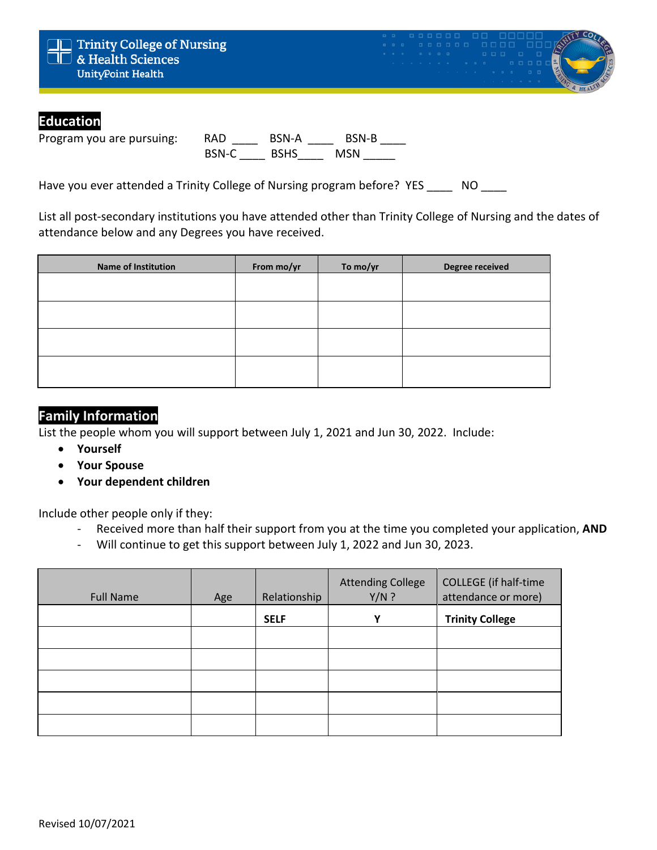

### **Education**

Program you are pursuing: RAD \_\_\_\_ BSN-A \_\_\_\_ BSN-B \_\_\_\_ BSN-C BSHS MSN

Have you ever attended a Trinity College of Nursing program before? YES NO

List all post-secondary institutions you have attended other than Trinity College of Nursing and the dates of attendance below and any Degrees you have received.

| <b>Name of Institution</b> | From mo/yr | To mo/yr | Degree received |
|----------------------------|------------|----------|-----------------|
|                            |            |          |                 |
|                            |            |          |                 |
|                            |            |          |                 |
|                            |            |          |                 |
|                            |            |          |                 |
|                            |            |          |                 |

### **Family Information**

List the people whom you will support between July 1, 2021 and Jun 30, 2022. Include:

- **Yourself**
- **Your Spouse**
- **Your dependent children**

Include other people only if they:

- Received more than half their support from you at the time you completed your application, **AND**
- Will continue to get this support between July 1, 2022 and Jun 30, 2023.

| <b>Full Name</b> | Age | Relationship | <b>Attending College</b><br>$Y/N$ ? | <b>COLLEGE</b> (if half-time<br>attendance or more) |
|------------------|-----|--------------|-------------------------------------|-----------------------------------------------------|
|                  |     | <b>SELF</b>  | Υ                                   | <b>Trinity College</b>                              |
|                  |     |              |                                     |                                                     |
|                  |     |              |                                     |                                                     |
|                  |     |              |                                     |                                                     |
|                  |     |              |                                     |                                                     |
|                  |     |              |                                     |                                                     |